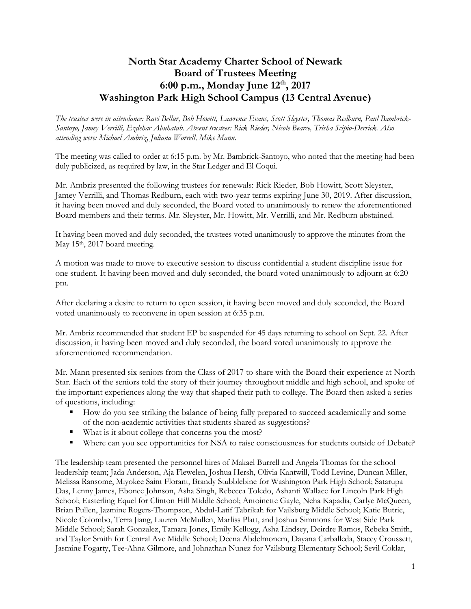## **North Star Academy Charter School of Newark Board of Trustees Meeting 6:00 p.m., Monday June 12 th, 2017 Washington Park High School Campus (13 Central Avenue)**

*The trustees were in attendance: Ravi Bellur, Bob Howitt, Lawrence Evans, Scott Sleyster, Thomas Redburn, Paul Bambrick-Santoyo, Jamey Verrilli, Ezdehar Abuhatab. Absent trustees: Rick Rieder, Nicole Bearce, Trisha Scipio-Derrick. Also attending were: Michael Ambriz, Juliana Worrell, Mike Mann.*

The meeting was called to order at 6:15 p.m. by Mr. Bambrick-Santoyo, who noted that the meeting had been duly publicized, as required by law, in the Star Ledger and El Coqui.

Mr. Ambriz presented the following trustees for renewals: Rick Rieder, Bob Howitt, Scott Sleyster, Jamey Verrilli, and Thomas Redburn, each with two-year terms expiring June 30, 2019. After discussion, it having been moved and duly seconded, the Board voted to unanimously to renew the aforementioned Board members and their terms. Mr. Sleyster, Mr. Howitt, Mr. Verrilli, and Mr. Redburn abstained.

It having been moved and duly seconded, the trustees voted unanimously to approve the minutes from the May 15<sup>th</sup>, 2017 board meeting.

A motion was made to move to executive session to discuss confidential a student discipline issue for one student. It having been moved and duly seconded, the board voted unanimously to adjourn at 6:20 pm.

After declaring a desire to return to open session, it having been moved and duly seconded, the Board voted unanimously to reconvene in open session at 6:35 p.m.

Mr. Ambriz recommended that student EP be suspended for 45 days returning to school on Sept. 22. After discussion, it having been moved and duly seconded, the board voted unanimously to approve the aforementioned recommendation.

Mr. Mann presented six seniors from the Class of 2017 to share with the Board their experience at North Star. Each of the seniors told the story of their journey throughout middle and high school, and spoke of the important experiences along the way that shaped their path to college. The Board then asked a series of questions, including:

- How do you see striking the balance of being fully prepared to succeed academically and some of the non-academic activities that students shared as suggestions?
- What is it about college that concerns you the most?
- Where can you see opportunities for NSA to raise consciousness for students outside of Debate?

The leadership team presented the personnel hires of Makael Burrell and Angela Thomas for the school leadership team; Jada Anderson, Aja Flewelen, Joshua Hersh, Olivia Kantwill, Todd Levine, Duncan Miller, Melissa Ransome, Miyokee Saint Florant, Brandy Stubblebine for Washington Park High School; Satarupa Das, Lenny James, Ebonee Johnson, Asha Singh, Rebecca Toledo, Ashanti Wallace for Lincoln Park High School; Easterling Equel for Clinton Hill Middle School; Antoinette Gayle, Neha Kapadia, Carlye McQueen, Brian Pullen, Jazmine Rogers-Thompson, Abdul-Latif Tabrikah for Vailsburg Middle School; Katie Butrie, Nicole Colombo, Terra Jiang, Lauren McMullen, Marliss Platt, and Joshua Simmons for West Side Park Middle School; Sarah Gonzalez, Tamara Jones, Emily Kellogg, Asha Lindsey, Deirdre Ramos, Rebeka Smith, and Taylor Smith for Central Ave Middle School; Deena Abdelmonem, Dayana Carballeda, Stacey Croussett, Jasmine Fogarty, Tee-Ahna Gilmore, and Johnathan Nunez for Vailsburg Elementary School; Sevil Coklar,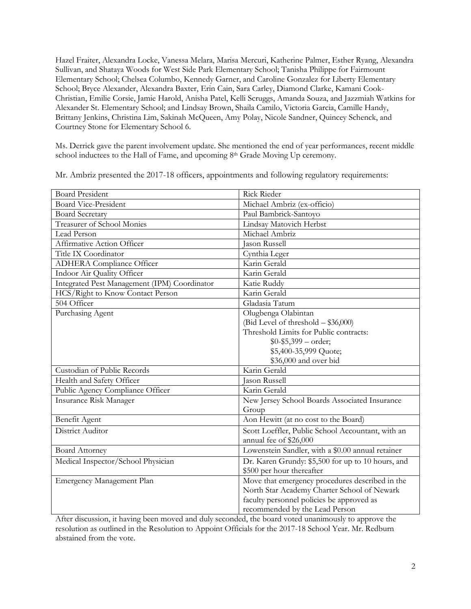Hazel Fraiter, Alexandra Locke, Vanessa Melara, Marisa Mercuri, Katherine Palmer, Esther Ryang, Alexandra Sullivan, and Shataya Woods for West Side Park Elementary School; Tanisha Philippe for Fairmount Elementary School; Chelsea Columbo, Kennedy Garner, and Caroline Gonzalez for Liberty Elementary School; Bryce Alexander, Alexandra Baxter, Erin Cain, Sara Carley, Diamond Clarke, Kamani Cook-Christian, Emilie Corsie, Jamie Harold, Anisha Patel, Kelli Scruggs, Amanda Souza, and Jazzmiah Watkins for Alexander St. Elementary School; and Lindsay Brown, Shaila Camilo, Victoria Garcia, Camille Handy, Brittany Jenkins, Christina Lim, Sakinah McQueen, Amy Polay, Nicole Sandner, Quincey Schenck, and Courtney Stone for Elementary School 6.

Ms. Derrick gave the parent involvement update. She mentioned the end of year performances, recent middle school inductees to the Hall of Fame, and upcoming 8<sup>th</sup> Grade Moving Up ceremony.

Mr. Ambriz presented the 2017-18 officers, appointments and following regulatory requirements:

| <b>Board President</b>                       | <b>Rick Rieder</b>                                |
|----------------------------------------------|---------------------------------------------------|
| <b>Board Vice-President</b>                  | Michael Ambriz (ex-officio)                       |
| <b>Board Secretary</b>                       | Paul Bambrick-Santoyo                             |
| Treasurer of School Monies                   | Lindsay Matovich Herbst                           |
| Lead Person                                  | Michael Ambriz                                    |
| Affirmative Action Officer                   | Jason Russell                                     |
| Title IX Coordinator                         | Cynthia Leger                                     |
| <b>ADHERA</b> Compliance Officer             | Karin Gerald                                      |
| Indoor Air Quality Officer                   | Karin Gerald                                      |
| Integrated Pest Management (IPM) Coordinator | Katie Ruddy                                       |
| HCS/Right to Know Contact Person             | Karin Gerald                                      |
| 504 Officer                                  | Gladasia Tatum                                    |
| Purchasing Agent                             | Olugbenga Olabintan                               |
|                                              | (Bid Level of threshold $-$ \$36,000)             |
|                                              | Threshold Limits for Public contracts:            |
|                                              | $$0-$5,399-order;$                                |
|                                              | \$5,400-35,999 Quote;                             |
|                                              | \$36,000 and over bid                             |
| Custodian of Public Records                  | Karin Gerald                                      |
| Health and Safety Officer                    | <b>Jason Russell</b>                              |
| Public Agency Compliance Officer             | Karin Gerald                                      |
| Insurance Risk Manager                       | New Jersey School Boards Associated Insurance     |
|                                              | Group                                             |
| Benefit Agent                                | Aon Hewitt (at no cost to the Board)              |
| District Auditor                             | Scott Loeffler, Public School Accountant, with an |
|                                              | annual fee of \$26,000                            |
| <b>Board Attorney</b>                        | Lowenstein Sandler, with a \$0.00 annual retainer |
| Medical Inspector/School Physician           | Dr. Karen Grundy: \$5,500 for up to 10 hours, and |
|                                              | \$500 per hour thereafter                         |
| Emergency Management Plan                    | Move that emergency procedures described in the   |
|                                              | North Star Academy Charter School of Newark       |
|                                              | faculty personnel policies be approved as         |
|                                              | recommended by the Lead Person                    |

After discussion, it having been moved and duly seconded, the board voted unanimously to approve the resolution as outlined in the Resolution to Appoint Officials for the 2017-18 School Year. Mr. Redburn abstained from the vote.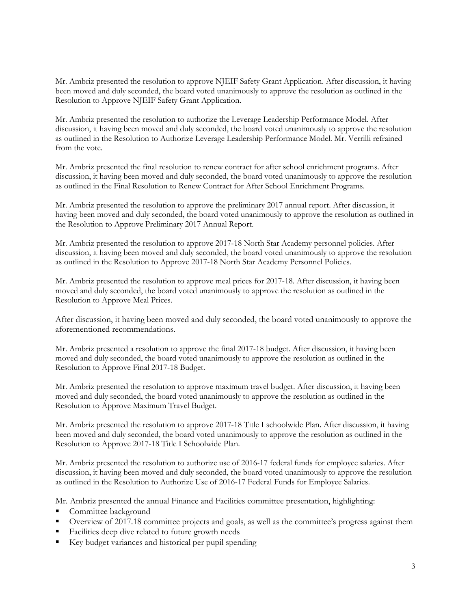Mr. Ambriz presented the resolution to approve NJEIF Safety Grant Application. After discussion, it having been moved and duly seconded, the board voted unanimously to approve the resolution as outlined in the Resolution to Approve NJEIF Safety Grant Application.

Mr. Ambriz presented the resolution to authorize the Leverage Leadership Performance Model. After discussion, it having been moved and duly seconded, the board voted unanimously to approve the resolution as outlined in the Resolution to Authorize Leverage Leadership Performance Model. Mr. Verrilli refrained from the vote.

Mr. Ambriz presented the final resolution to renew contract for after school enrichment programs. After discussion, it having been moved and duly seconded, the board voted unanimously to approve the resolution as outlined in the Final Resolution to Renew Contract for After School Enrichment Programs.

Mr. Ambriz presented the resolution to approve the preliminary 2017 annual report. After discussion, it having been moved and duly seconded, the board voted unanimously to approve the resolution as outlined in the Resolution to Approve Preliminary 2017 Annual Report.

Mr. Ambriz presented the resolution to approve 2017-18 North Star Academy personnel policies. After discussion, it having been moved and duly seconded, the board voted unanimously to approve the resolution as outlined in the Resolution to Approve 2017-18 North Star Academy Personnel Policies.

Mr. Ambriz presented the resolution to approve meal prices for 2017-18. After discussion, it having been moved and duly seconded, the board voted unanimously to approve the resolution as outlined in the Resolution to Approve Meal Prices.

After discussion, it having been moved and duly seconded, the board voted unanimously to approve the aforementioned recommendations.

Mr. Ambriz presented a resolution to approve the final 2017-18 budget. After discussion, it having been moved and duly seconded, the board voted unanimously to approve the resolution as outlined in the Resolution to Approve Final 2017-18 Budget.

Mr. Ambriz presented the resolution to approve maximum travel budget. After discussion, it having been moved and duly seconded, the board voted unanimously to approve the resolution as outlined in the Resolution to Approve Maximum Travel Budget.

Mr. Ambriz presented the resolution to approve 2017-18 Title I schoolwide Plan. After discussion, it having been moved and duly seconded, the board voted unanimously to approve the resolution as outlined in the Resolution to Approve 2017-18 Title I Schoolwide Plan.

Mr. Ambriz presented the resolution to authorize use of 2016-17 federal funds for employee salaries. After discussion, it having been moved and duly seconded, the board voted unanimously to approve the resolution as outlined in the Resolution to Authorize Use of 2016-17 Federal Funds for Employee Salaries.

Mr. Ambriz presented the annual Finance and Facilities committee presentation, highlighting:

- Committee background
- Overview of 2017.18 committee projects and goals, as well as the committee's progress against them
- Facilities deep dive related to future growth needs
- Key budget variances and historical per pupil spending